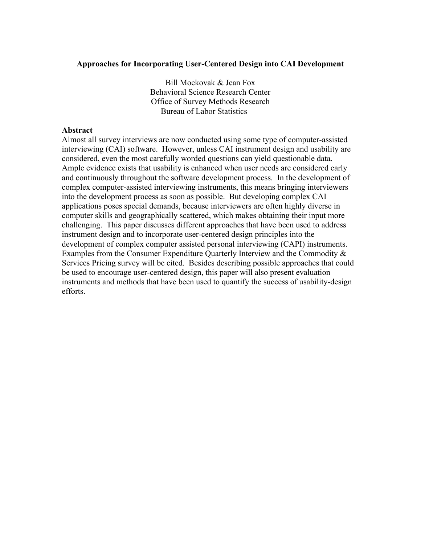### **Approaches for Incorporating User-Centered Design into CAI Development**

Bill Mockovak & Jean Fox Behavioral Science Research Center Office of Survey Methods Research Bureau of Labor Statistics

#### **Abstract**

Almost all survey interviews are now conducted using some type of computer-assisted interviewing (CAI) software. However, unless CAI instrument design and usability are considered, even the most carefully worded questions can yield questionable data. Ample evidence exists that usability is enhanced when user needs are considered early and continuously throughout the software development process. In the development of complex computer-assisted interviewing instruments, this means bringing interviewers into the development process as soon as possible. But developing complex CAI applications poses special demands, because interviewers are often highly diverse in computer skills and geographically scattered, which makes obtaining their input more challenging. This paper discusses different approaches that have been used to address instrument design and to incorporate user-centered design principles into the development of complex computer assisted personal interviewing (CAPI) instruments. Examples from the Consumer Expenditure Quarterly Interview and the Commodity & Services Pricing survey will be cited. Besides describing possible approaches that could be used to encourage user-centered design, this paper will also present evaluation instruments and methods that have been used to quantify the success of usability-design efforts.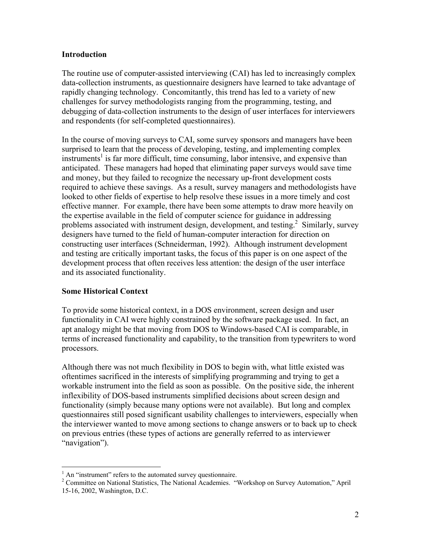### **Introduction**

The routine use of computer-assisted interviewing (CAI) has led to increasingly complex data-collection instruments, as questionnaire designers have learned to take advantage of rapidly changing technology. Concomitantly, this trend has led to a variety of new challenges for survey methodologists ranging from the programming, testing, and debugging of data-collection instruments to the design of user interfaces for interviewers and respondents (for self-completed questionnaires).

In the course of moving surveys to CAI, some survey sponsors and managers have been surprised to learn that the process of developing, testing, and implementing complex instruments<sup>1</sup> is far more difficult, time consuming, labor intensive, and expensive than anticipated. These managers had hoped that eliminating paper surveys would save time and money, but they failed to recognize the necessary up-front development costs required to achieve these savings. As a result, survey managers and methodologists have looked to other fields of expertise to help resolve these issues in a more timely and cost effective manner. For example, there have been some attempts to draw more heavily on the expertise available in the field of computer science for guidance in addressing problems associated with instrument design, development, and testing.<sup>2</sup> Similarly, survey designers have turned to the field of human-computer interaction for direction on constructing user interfaces (Schneiderman, 1992). Although instrument development and testing are critically important tasks, the focus of this paper is on one aspect of the development process that often receives less attention: the design of the user interface and its associated functionality.

### **Some Historical Context**

 $\overline{a}$ 

To provide some historical context, in a DOS environment, screen design and user functionality in CAI were highly constrained by the software package used. In fact, an apt analogy might be that moving from DOS to Windows-based CAI is comparable, in terms of increased functionality and capability, to the transition from typewriters to word processors.

Although there was not much flexibility in DOS to begin with, what little existed was oftentimes sacrificed in the interests of simplifying programming and trying to get a workable instrument into the field as soon as possible. On the positive side, the inherent inflexibility of DOS-based instruments simplified decisions about screen design and functionality (simply because many options were not available). But long and complex questionnaires still posed significant usability challenges to interviewers, especially when the interviewer wanted to move among sections to change answers or to back up to check on previous entries (these types of actions are generally referred to as interviewer "navigation").

<sup>&</sup>lt;sup>1</sup> An "instrument" refers to the automated survey questionnaire.

<sup>&</sup>lt;sup>2</sup> Committee on National Statistics, The National Academies. "Workshop on Survey Automation," April 15-16, 2002, Washington, D.C.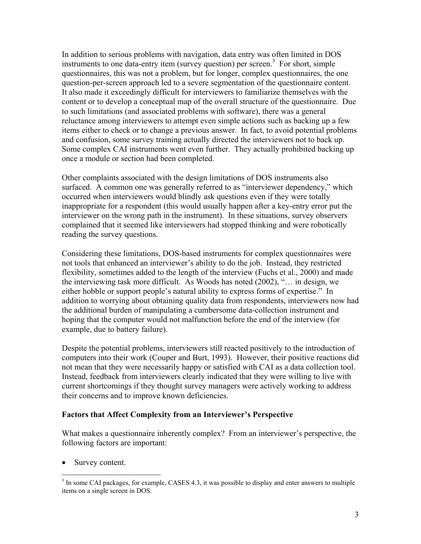In addition to serious problems with navigation, data entry was often limited in DOS instruments to one data-entry item (survey question) per screen.<sup>3</sup> For short, simple questionnaires, this was not a problem, but for longer, complex questionnaires, the one question-per-screen approach led to a severe segmentation of the questionnaire content. It also made it exceedingly difficult for interviewers to familiarize themselves with the content or to develop a conceptual map of the overall structure of the questionnaire. Due to such limitations (and associated problems with software), there was a general reluctance among interviewers to attempt even simple actions such as backing up a few items either to check or to change a previous answer. In fact, to avoid potential problems and confusion, some survey training actually directed the interviewers not to back up. Some complex CAI instruments went even further. They actually prohibited backing up once a module or section had been completed.

Other complaints associated with the design limitations of DOS instruments also surfaced. A common one was generally referred to as "interviewer dependency," which occurred when interviewers would blindly ask questions even if they were totally inappropriate for a respondent (this would usually happen after a key-entry error put the interviewer on the wrong path in the instrument). In these situations, survey observers complained that it seemed like interviewers had stopped thinking and were robotically reading the survey questions.

Considering these limitations, DOS-based instruments for complex questionnaires were not tools that enhanced an interviewer's ability to do the job. Instead, they restricted flexibility, sometimes added to the length of the interview (Fuchs et al., 2000) and made the interviewing task more difficult. As Woods has noted (2002), "… in design, we either hobble or support people's natural ability to express forms of expertise." In addition to worrying about obtaining quality data from respondents, interviewers now had the additional burden of manipulating a cumbersome data-collection instrument and hoping that the computer would not malfunction before the end of the interview (for example, due to battery failure).

Despite the potential problems, interviewers still reacted positively to the introduction of computers into their work (Couper and Burt, 1993). However, their positive reactions did not mean that they were necessarily happy or satisfied with CAI as a data collection tool. Instead, feedback from interviewers clearly indicated that they were willing to live with current shortcomings if they thought survey managers were actively working to address their concerns and to improve known deficiencies.

### **Factors that Affect Complexity from an Interviewer's Perspective**

What makes a questionnaire inherently complex? From an interviewer's perspective, the following factors are important:

• Survey content.

<sup>&</sup>lt;sup>3</sup> In some CAI packages, for example, CASES 4.3, it was possible to display and enter answers to multiple items on a single screen in DOS.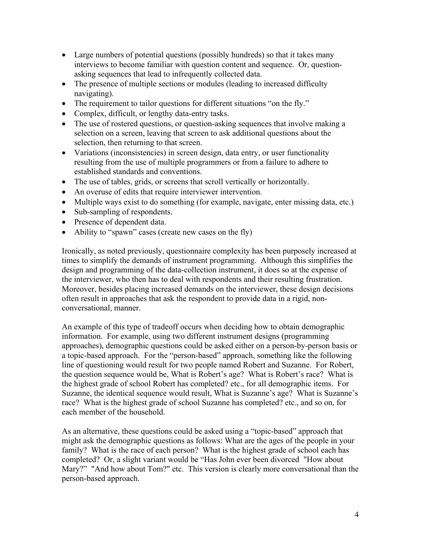- Large numbers of potential questions (possibly hundreds) so that it takes many interviews to become familiar with question content and sequence. Or, questionasking sequences that lead to infrequently collected data.
- The presence of multiple sections or modules (leading to increased difficulty navigating).
- The requirement to tailor questions for different situations "on the fly."
- Complex, difficult, or lengthy data-entry tasks.
- The use of rostered questions, or question-asking sequences that involve making a selection on a screen, leaving that screen to ask additional questions about the selection, then returning to that screen.
- Variations (inconsistencies) in screen design, data entry, or user functionality resulting from the use of multiple programmers or from a failure to adhere to established standards and conventions.
- The use of tables, grids, or screens that scroll vertically or horizontally.
- An overuse of edits that require interviewer intervention.
- Multiple ways exist to do something (for example, navigate, enter missing data, etc.)
- Sub-sampling of respondents.
- Presence of dependent data.
- Ability to "spawn" cases (create new cases on the fly)

Ironically, as noted previously, questionnaire complexity has been purposely increased at times to simplify the demands of instrument programming. Although this simplifies the design and programming of the data-collection instrument, it does so at the expense of the interviewer, who then has to deal with respondents and their resulting frustration. Moreover, besides placing increased demands on the interviewer, these design decisions often result in approaches that ask the respondent to provide data in a rigid, nonconversational, manner.

An example of this type of tradeoff occurs when deciding how to obtain demographic information. For example, using two different instrument designs (programming approaches), demographic questions could be asked either on a person-by-person basis or a topic-based approach. For the "person-based" approach, something like the following line of questioning would result for two people named Robert and Suzanne. For Robert, the question sequence would be, What is Robert's age? What is Robert's race? What is the highest grade of school Robert has completed? etc., for all demographic items. For Suzanne, the identical sequence would result, What is Suzanne's age? What is Suzanne's race? What is the highest grade of school Suzanne has completed? etc., and so on, for each member of the household.

As an alternative, these questions could be asked using a "topic-based" approach that might ask the demographic questions as follows: What are the ages of the people in your family? What is the race of each person? What is the highest grade of school each has completed? Or, a slight variant would be "Has John ever been divorced "How about Mary?" "And how about Tom?" etc. This version is clearly more conversational than the person-based approach.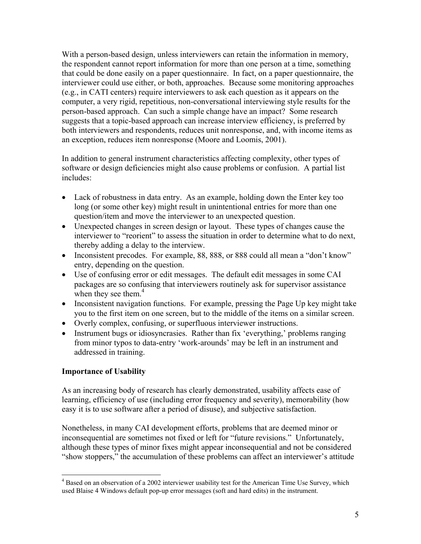With a person-based design, unless interviewers can retain the information in memory, the respondent cannot report information for more than one person at a time, something that could be done easily on a paper questionnaire. In fact, on a paper questionnaire, the interviewer could use either, or both, approaches. Because some monitoring approaches (e.g., in CATI centers) require interviewers to ask each question as it appears on the computer, a very rigid, repetitious, non-conversational interviewing style results for the person-based approach. Can such a simple change have an impact? Some research suggests that a topic-based approach can increase interview efficiency, is preferred by both interviewers and respondents, reduces unit nonresponse, and, with income items as an exception, reduces item nonresponse (Moore and Loomis, 2001).

In addition to general instrument characteristics affecting complexity, other types of software or design deficiencies might also cause problems or confusion. A partial list includes:

- Lack of robustness in data entry. As an example, holding down the Enter key too long (or some other key) might result in unintentional entries for more than one question/item and move the interviewer to an unexpected question.
- Unexpected changes in screen design or layout. These types of changes cause the interviewer to "reorient" to assess the situation in order to determine what to do next, thereby adding a delay to the interview.
- Inconsistent precodes. For example, 88, 888, or 888 could all mean a "don't know" entry, depending on the question.
- Use of confusing error or edit messages. The default edit messages in some CAI packages are so confusing that interviewers routinely ask for supervisor assistance when they see them. $4$
- Inconsistent navigation functions. For example, pressing the Page Up key might take you to the first item on one screen, but to the middle of the items on a similar screen.
- Overly complex, confusing, or superfluous interviewer instructions.
- Instrument bugs or idiosyncrasies. Rather than fix 'everything,' problems ranging from minor typos to data-entry 'work-arounds' may be left in an instrument and addressed in training.

### **Importance of Usability**

 $\overline{a}$ 

As an increasing body of research has clearly demonstrated, usability affects ease of learning, efficiency of use (including error frequency and severity), memorability (how easy it is to use software after a period of disuse), and subjective satisfaction.

Nonetheless, in many CAI development efforts, problems that are deemed minor or inconsequential are sometimes not fixed or left for "future revisions." Unfortunately, although these types of minor fixes might appear inconsequential and not be considered "show stoppers," the accumulation of these problems can affect an interviewer's attitude

<sup>&</sup>lt;sup>4</sup> Based on an observation of a 2002 interviewer usability test for the American Time Use Survey, which used Blaise 4 Windows default pop-up error messages (soft and hard edits) in the instrument.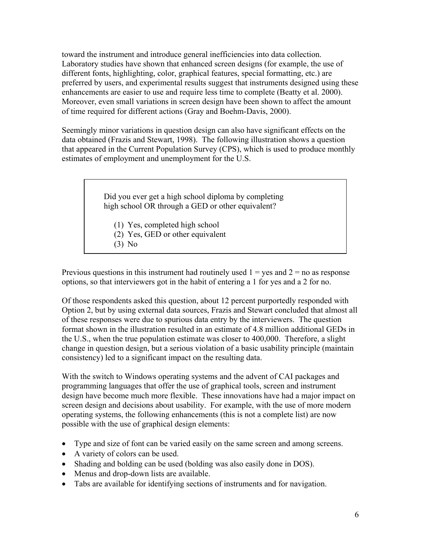toward the instrument and introduce general inefficiencies into data collection. Laboratory studies have shown that enhanced screen designs (for example, the use of different fonts, highlighting, color, graphical features, special formatting, etc.) are preferred by users, and experimental results suggest that instruments designed using these enhancements are easier to use and require less time to complete (Beatty et al. 2000). Moreover, even small variations in screen design have been shown to affect the amount of time required for different actions (Gray and Boehm-Davis, 2000).

Seemingly minor variations in question design can also have significant effects on the data obtained (Frazis and Stewart, 1998). The following illustration shows a question that appeared in the Current Population Survey (CPS), which is used to produce monthly estimates of employment and unemployment for the U.S.

> Did you ever get a high school diploma by completing high school OR through a GED or other equivalent?

- (1) Yes, completed high school
- (2) Yes, GED or other equivalent
- (3) No

Previous questions in this instrument had routinely used  $1 = yes$  and  $2 = no$  as response options, so that interviewers got in the habit of entering a 1 for yes and a 2 for no.

Of those respondents asked this question, about 12 percent purportedly responded with Option 2, but by using external data sources, Frazis and Stewart concluded that almost all of these responses were due to spurious data entry by the interviewers. The question format shown in the illustration resulted in an estimate of 4.8 million additional GEDs in the U.S., when the true population estimate was closer to 400,000. Therefore, a slight change in question design, but a serious violation of a basic usability principle (maintain consistency) led to a significant impact on the resulting data.

With the switch to Windows operating systems and the advent of CAI packages and programming languages that offer the use of graphical tools, screen and instrument design have become much more flexible. These innovations have had a major impact on screen design and decisions about usability. For example, with the use of more modern operating systems, the following enhancements (this is not a complete list) are now possible with the use of graphical design elements:

- Type and size of font can be varied easily on the same screen and among screens.
- A variety of colors can be used.
- Shading and bolding can be used (bolding was also easily done in DOS).
- Menus and drop-down lists are available.
- Tabs are available for identifying sections of instruments and for navigation.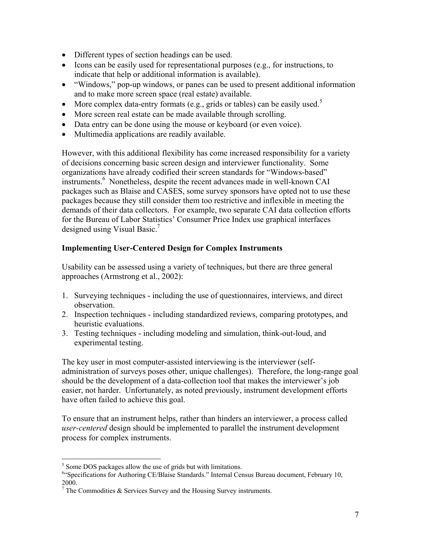- Different types of section headings can be used.
- Icons can be easily used for representational purposes (e.g., for instructions, to indicate that help or additional information is available).
- "Windows," pop-up windows, or panes can be used to present additional information and to make more screen space (real estate) available.
- More complex data-entry formats (e.g., grids or tables) can be easily used. $5$
- More screen real estate can be made available through scrolling.
- Data entry can be done using the mouse or keyboard (or even voice).
- Multimedia applications are readily available.

However, with this additional flexibility has come increased responsibility for a variety of decisions concerning basic screen design and interviewer functionality. Some organizations have already codified their screen standards for "Windows-based" instruments.<sup>6</sup> Nonetheless, despite the recent advances made in well-known CAI packages such as Blaise and CASES, some survey sponsors have opted not to use these packages because they still consider them too restrictive and inflexible in meeting the demands of their data collectors. For example, two separate CAI data collection efforts for the Bureau of Labor Statistics' Consumer Price Index use graphical interfaces designed using Visual Basic.<sup>7</sup>

# **Implementing User-Centered Design for Complex Instruments**

Usability can be assessed using a variety of techniques, but there are three general approaches (Armstrong et al., 2002):

- 1. Surveying techniques including the use of questionnaires, interviews, and direct observation.
- 2. Inspection techniques including standardized reviews, comparing prototypes, and heuristic evaluations.
- 3. Testing techniques including modeling and simulation, think-out-loud, and experimental testing.

The key user in most computer-assisted interviewing is the interviewer (selfadministration of surveys poses other, unique challenges). Therefore, the long-range goal should be the development of a data-collection tool that makes the interviewer's job easier, not harder. Unfortunately, as noted previously, instrument development efforts have often failed to achieve this goal.

To ensure that an instrument helps, rather than hinders an interviewer, a process called *user-centered* design should be implemented to parallel the instrument development process for complex instruments.

 $\overline{a}$ <sup>5</sup> Some DOS packages allow the use of grids but with limitations.

<sup>&</sup>lt;sup>6</sup>"Specifications for Authoring CE/Blaise Standards." Internal Census Bureau document, February 10,

<sup>2000.&</sup>lt;br><sup>7</sup> The Commodities & Services Survey and the Housing Survey instruments.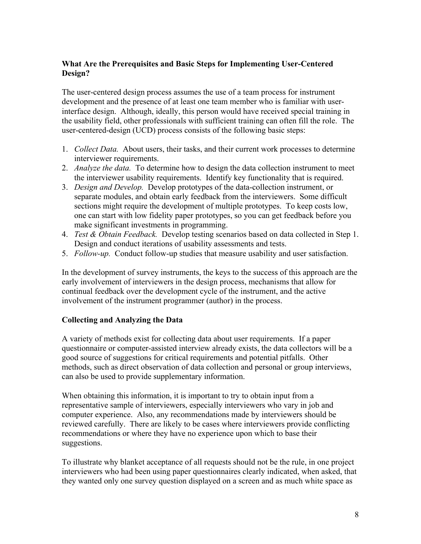## **What Are the Prerequisites and Basic Steps for Implementing User-Centered Design?**

The user-centered design process assumes the use of a team process for instrument development and the presence of at least one team member who is familiar with userinterface design. Although, ideally, this person would have received special training in the usability field, other professionals with sufficient training can often fill the role. The user-centered-design (UCD) process consists of the following basic steps:

- 1. *Collect Data.* About users, their tasks, and their current work processes to determine interviewer requirements.
- 2. *Analyze the data.* To determine how to design the data collection instrument to meet the interviewer usability requirements. Identify key functionality that is required.
- 3. *Design and Develop.* Develop prototypes of the data-collection instrument, or separate modules, and obtain early feedback from the interviewers. Some difficult sections might require the development of multiple prototypes. To keep costs low, one can start with low fidelity paper prototypes, so you can get feedback before you make significant investments in programming.
- 4. *Test & Obtain Feedback.* Develop testing scenarios based on data collected in Step 1. Design and conduct iterations of usability assessments and tests.
- 5. *Follow-up.* Conduct follow-up studies that measure usability and user satisfaction.

In the development of survey instruments, the keys to the success of this approach are the early involvement of interviewers in the design process, mechanisms that allow for continual feedback over the development cycle of the instrument, and the active involvement of the instrument programmer (author) in the process.

# **Collecting and Analyzing the Data**

A variety of methods exist for collecting data about user requirements. If a paper questionnaire or computer-assisted interview already exists, the data collectors will be a good source of suggestions for critical requirements and potential pitfalls. Other methods, such as direct observation of data collection and personal or group interviews, can also be used to provide supplementary information.

When obtaining this information, it is important to try to obtain input from a representative sample of interviewers, especially interviewers who vary in job and computer experience. Also, any recommendations made by interviewers should be reviewed carefully. There are likely to be cases where interviewers provide conflicting recommendations or where they have no experience upon which to base their suggestions.

To illustrate why blanket acceptance of all requests should not be the rule, in one project interviewers who had been using paper questionnaires clearly indicated, when asked, that they wanted only one survey question displayed on a screen and as much white space as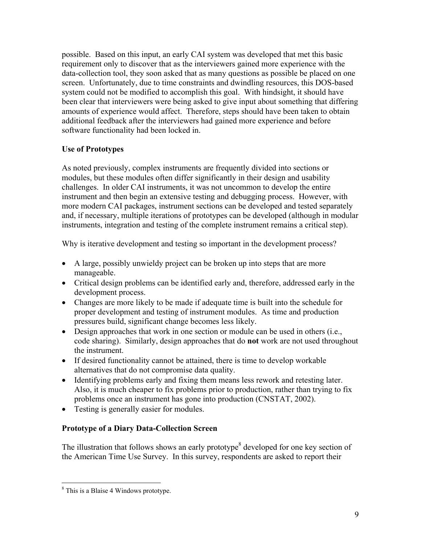possible. Based on this input, an early CAI system was developed that met this basic requirement only to discover that as the interviewers gained more experience with the data-collection tool, they soon asked that as many questions as possible be placed on one screen. Unfortunately, due to time constraints and dwindling resources, this DOS-based system could not be modified to accomplish this goal. With hindsight, it should have been clear that interviewers were being asked to give input about something that differing amounts of experience would affect. Therefore, steps should have been taken to obtain additional feedback after the interviewers had gained more experience and before software functionality had been locked in.

# **Use of Prototypes**

As noted previously, complex instruments are frequently divided into sections or modules, but these modules often differ significantly in their design and usability challenges. In older CAI instruments, it was not uncommon to develop the entire instrument and then begin an extensive testing and debugging process. However, with more modern CAI packages, instrument sections can be developed and tested separately and, if necessary, multiple iterations of prototypes can be developed (although in modular instruments, integration and testing of the complete instrument remains a critical step).

Why is iterative development and testing so important in the development process?

- A large, possibly unwieldy project can be broken up into steps that are more manageable.
- Critical design problems can be identified early and, therefore, addressed early in the development process.
- Changes are more likely to be made if adequate time is built into the schedule for proper development and testing of instrument modules. As time and production pressures build, significant change becomes less likely.
- Design approaches that work in one section or module can be used in others (i.e., code sharing). Similarly, design approaches that do **not** work are not used throughout the instrument.
- If desired functionality cannot be attained, there is time to develop workable alternatives that do not compromise data quality.
- Identifying problems early and fixing them means less rework and retesting later. Also, it is much cheaper to fix problems prior to production, rather than trying to fix problems once an instrument has gone into production (CNSTAT, 2002).
- Testing is generally easier for modules.

# **Prototype of a Diary Data-Collection Screen**

The illustration that follows shows an early prototype $<sup>8</sup>$  developed for one key section of</sup> the American Time Use Survey. In this survey, respondents are asked to report their

 $\overline{a}$ 

<sup>&</sup>lt;sup>8</sup> This is a Blaise 4 Windows prototype.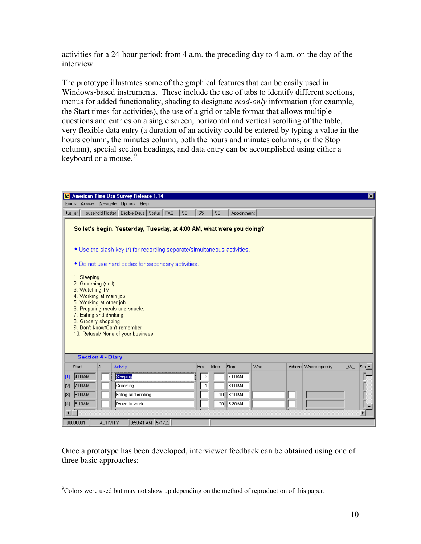activities for a 24-hour period: from 4 a.m. the preceding day to 4 a.m. on the day of the interview.

The prototype illustrates some of the graphical features that can be easily used in Windows-based instruments. These include the use of tabs to identify different sections, menus for added functionality, shading to designate *read-only* information (for example, the Start times for activities), the use of a grid or table format that allows multiple questions and entries on a single screen, horizontal and vertical scrolling of the table, very flexible data entry (a duration of an activity could be entered by typing a value in the hours column, the minutes column, both the hours and minutes columns, or the Stop column), special section headings, and data entry can be accomplished using either a keyboard or a mouse.<sup>9</sup>

|                                                                         |                                                                                                                                                                                                                                                                  |                 | <b>b&amp;</b> American Time Use Survey Release 1.14                |                   |  |              |                        |                  |     |  |                     |     | 図             |
|-------------------------------------------------------------------------|------------------------------------------------------------------------------------------------------------------------------------------------------------------------------------------------------------------------------------------------------------------|-----------------|--------------------------------------------------------------------|-------------------|--|--------------|------------------------|------------------|-----|--|---------------------|-----|---------------|
|                                                                         |                                                                                                                                                                                                                                                                  |                 | Forms Answer Navigate Options Help                                 |                   |  |              |                        |                  |     |  |                     |     |               |
|                                                                         |                                                                                                                                                                                                                                                                  |                 | tus_af   Household Roster   Eligible Days   Status   FAQ   S3   S5 |                   |  |              | $\vert$ s <sub>8</sub> | Appointment      |     |  |                     |     |               |
| So let's begin. Yesterday, Tuesday, at 4:00 AM, what were you doing?    |                                                                                                                                                                                                                                                                  |                 |                                                                    |                   |  |              |                        |                  |     |  |                     |     |               |
| • Use the slash key (/) for recording separate/simultaneous activities. |                                                                                                                                                                                                                                                                  |                 |                                                                    |                   |  |              |                        |                  |     |  |                     |     |               |
|                                                                         | * Do not use hard codes for secondary activities.                                                                                                                                                                                                                |                 |                                                                    |                   |  |              |                        |                  |     |  |                     |     |               |
| <b>Section 4 - Diary</b>                                                | 1. Sleeping<br>2. Grooming (self)<br>3. Watching TV<br>4. Working at main job<br>5. Working at other job<br>6. Preparing meals and snacks<br>7. Eating and drinking<br>8. Grocery shopping<br>9. Don't know/Can't remember<br>10. Refusal/ None of your business |                 |                                                                    |                   |  |              |                        |                  |     |  |                     |     |               |
| Start                                                                   |                                                                                                                                                                                                                                                                  | Iω              | Actvity                                                            |                   |  | Hrs          | Mins                   | Stop             | Who |  | Where Where specify | LW_ | Sto ▲         |
| I11                                                                     | 4:00AM                                                                                                                                                                                                                                                           |                 | Sleeping                                                           |                   |  | 3            |                        | 7:00AM           |     |  |                     |     |               |
| $\left[2\right]$<br>$^{[3]}$                                            | 7:00AM<br> 8:00AM                                                                                                                                                                                                                                                |                 | Grooming<br>Eating and drinking                                    |                   |  | $\mathbf{1}$ | 10                     | 8:00AM<br>8:10AM |     |  |                     |     | $\frac{1}{2}$ |
| [4]  8:10AM                                                             |                                                                                                                                                                                                                                                                  |                 | Drove to work                                                      |                   |  |              | 20                     | ∥8:30AM          |     |  |                     |     |               |
| 00000001                                                                |                                                                                                                                                                                                                                                                  | <b>ACTIVITY</b> |                                                                    | 8:50:41 AM 5/1/02 |  |              |                        |                  |     |  |                     |     |               |

Once a prototype has been developed, interviewer feedback can be obtained using one of three basic approaches:

 $\overline{a}$ 

<sup>&</sup>lt;sup>9</sup>Colors were used but may not show up depending on the method of reproduction of this paper.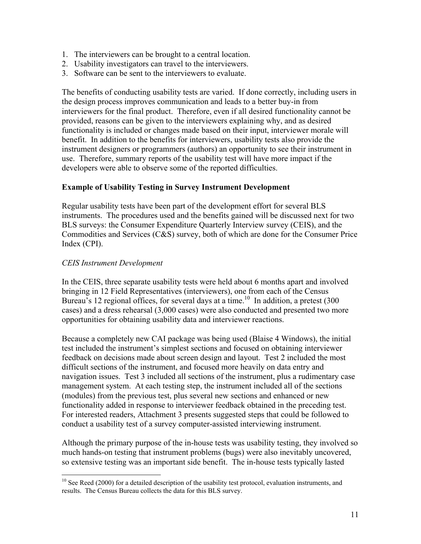- 1. The interviewers can be brought to a central location.
- 2. Usability investigators can travel to the interviewers.
- 3. Software can be sent to the interviewers to evaluate.

The benefits of conducting usability tests are varied. If done correctly, including users in the design process improves communication and leads to a better buy-in from interviewers for the final product. Therefore, even if all desired functionality cannot be provided, reasons can be given to the interviewers explaining why, and as desired functionality is included or changes made based on their input, interviewer morale will benefit. In addition to the benefits for interviewers, usability tests also provide the instrument designers or programmers (authors) an opportunity to see their instrument in use. Therefore, summary reports of the usability test will have more impact if the developers were able to observe some of the reported difficulties.

### **Example of Usability Testing in Survey Instrument Development**

Regular usability tests have been part of the development effort for several BLS instruments. The procedures used and the benefits gained will be discussed next for two BLS surveys: the Consumer Expenditure Quarterly Interview survey (CEIS), and the Commodities and Services (C&S) survey, both of which are done for the Consumer Price Index (CPI).

### *CEIS Instrument Development*

 $\overline{a}$ 

In the CEIS, three separate usability tests were held about 6 months apart and involved bringing in 12 Field Representatives (interviewers), one from each of the Census Bureau's 12 regional offices, for several days at a time.<sup>10</sup> In addition, a pretest  $(300)$ cases) and a dress rehearsal (3,000 cases) were also conducted and presented two more opportunities for obtaining usability data and interviewer reactions.

Because a completely new CAI package was being used (Blaise 4 Windows), the initial test included the instrument's simplest sections and focused on obtaining interviewer feedback on decisions made about screen design and layout. Test 2 included the most difficult sections of the instrument, and focused more heavily on data entry and navigation issues. Test 3 included all sections of the instrument, plus a rudimentary case management system. At each testing step, the instrument included all of the sections (modules) from the previous test, plus several new sections and enhanced or new functionality added in response to interviewer feedback obtained in the preceding test. For interested readers, Attachment 3 presents suggested steps that could be followed to conduct a usability test of a survey computer-assisted interviewing instrument.

Although the primary purpose of the in-house tests was usability testing, they involved so much hands-on testing that instrument problems (bugs) were also inevitably uncovered, so extensive testing was an important side benefit. The in-house tests typically lasted

 $10$  See Reed (2000) for a detailed description of the usability test protocol, evaluation instruments, and results. The Census Bureau collects the data for this BLS survey.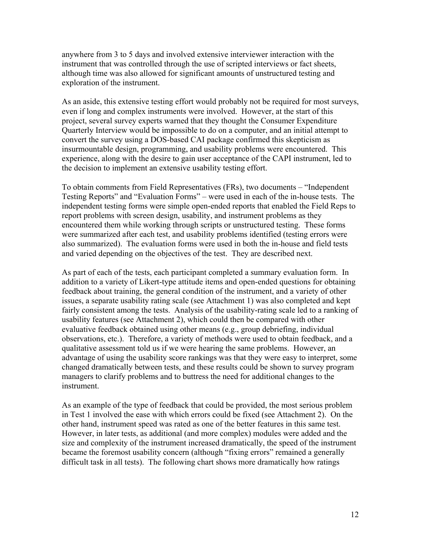anywhere from 3 to 5 days and involved extensive interviewer interaction with the instrument that was controlled through the use of scripted interviews or fact sheets, although time was also allowed for significant amounts of unstructured testing and exploration of the instrument.

As an aside, this extensive testing effort would probably not be required for most surveys, even if long and complex instruments were involved. However, at the start of this project, several survey experts warned that they thought the Consumer Expenditure Quarterly Interview would be impossible to do on a computer, and an initial attempt to convert the survey using a DOS-based CAI package confirmed this skepticism as insurmountable design, programming, and usability problems were encountered. This experience, along with the desire to gain user acceptance of the CAPI instrument, led to the decision to implement an extensive usability testing effort.

To obtain comments from Field Representatives (FRs), two documents – "Independent Testing Reports" and "Evaluation Forms" – were used in each of the in-house tests. The independent testing forms were simple open-ended reports that enabled the Field Reps to report problems with screen design, usability, and instrument problems as they encountered them while working through scripts or unstructured testing. These forms were summarized after each test, and usability problems identified (testing errors were also summarized). The evaluation forms were used in both the in-house and field tests and varied depending on the objectives of the test. They are described next.

As part of each of the tests, each participant completed a summary evaluation form. In addition to a variety of Likert-type attitude items and open-ended questions for obtaining feedback about training, the general condition of the instrument, and a variety of other issues, a separate usability rating scale (see Attachment 1) was also completed and kept fairly consistent among the tests. Analysis of the usability-rating scale led to a ranking of usability features (see Attachment 2), which could then be compared with other evaluative feedback obtained using other means (e.g., group debriefing, individual observations, etc.). Therefore, a variety of methods were used to obtain feedback, and a qualitative assessment told us if we were hearing the same problems. However, an advantage of using the usability score rankings was that they were easy to interpret, some changed dramatically between tests, and these results could be shown to survey program managers to clarify problems and to buttress the need for additional changes to the instrument.

As an example of the type of feedback that could be provided, the most serious problem in Test 1 involved the ease with which errors could be fixed (see Attachment 2). On the other hand, instrument speed was rated as one of the better features in this same test. However, in later tests, as additional (and more complex) modules were added and the size and complexity of the instrument increased dramatically, the speed of the instrument became the foremost usability concern (although "fixing errors" remained a generally difficult task in all tests). The following chart shows more dramatically how ratings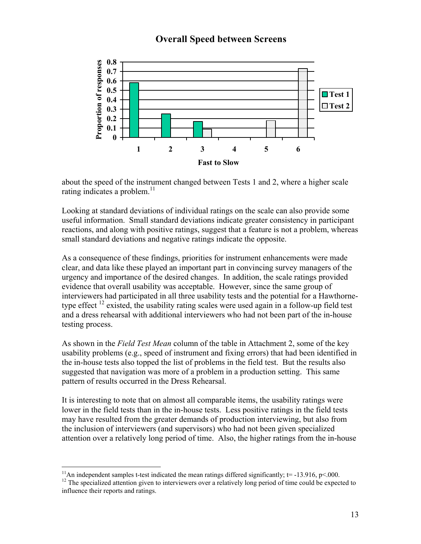# **Overall Speed between Screens**



about the speed of the instrument changed between Tests 1 and 2, where a higher scale rating indicates a problem. $11$ 

Looking at standard deviations of individual ratings on the scale can also provide some useful information. Small standard deviations indicate greater consistency in participant reactions, and along with positive ratings, suggest that a feature is not a problem, whereas small standard deviations and negative ratings indicate the opposite.

As a consequence of these findings, priorities for instrument enhancements were made clear, and data like these played an important part in convincing survey managers of the urgency and importance of the desired changes. In addition, the scale ratings provided evidence that overall usability was acceptable. However, since the same group of interviewers had participated in all three usability tests and the potential for a Hawthornetype effect  $^{12}$  existed, the usability rating scales were used again in a follow-up field test and a dress rehearsal with additional interviewers who had not been part of the in-house testing process.

As shown in the *Field Test Mean* column of the table in Attachment 2, some of the key usability problems (e.g., speed of instrument and fixing errors) that had been identified in the in-house tests also topped the list of problems in the field test. But the results also suggested that navigation was more of a problem in a production setting. This same pattern of results occurred in the Dress Rehearsal.

It is interesting to note that on almost all comparable items, the usability ratings were lower in the field tests than in the in-house tests. Less positive ratings in the field tests may have resulted from the greater demands of production interviewing, but also from the inclusion of interviewers (and supervisors) who had not been given specialized attention over a relatively long period of time. Also, the higher ratings from the in-house

<sup>&</sup>lt;sup>11</sup>An independent samples t-test indicated the mean ratings differed significantly;  $t = -13.916$ ,  $p < 000$ .

 $12$  The specialized attention given to interviewers over a relatively long period of time could be expected to influence their reports and ratings.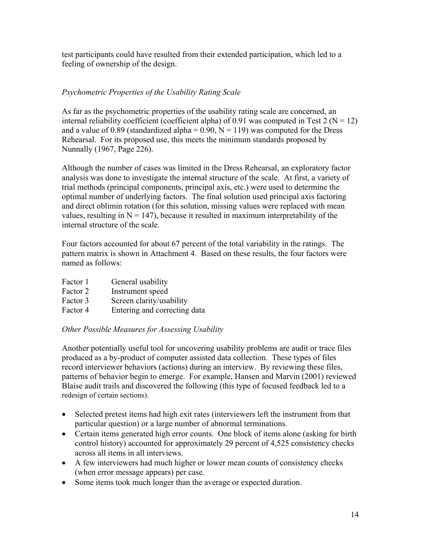test participants could have resulted from their extended participation, which led to a feeling of ownership of the design.

## *Psychometric Properties of the Usability Rating Scale*

As far as the psychometric properties of the usability rating scale are concerned, an internal reliability coefficient (coefficient alpha) of 0.91 was computed in Test 2 ( $N = 12$ ) and a value of 0.89 (standardized alpha =  $0.90$ , N = 119) was computed for the Dress Rehearsal. For its proposed use, this meets the minimum standards proposed by Nunnally (1967, Page 226).

Although the number of cases was limited in the Dress Rehearsal, an exploratory factor analysis was done to investigate the internal structure of the scale. At first, a variety of trial methods (principal components, principal axis, etc.) were used to determine the optimal number of underlying factors. The final solution used principal axis factoring and direct oblimin rotation (for this solution, missing values were replaced with mean values, resulting in  $N = 147$ ), because it resulted in maximum interpretability of the internal structure of the scale.

Four factors accounted for about 67 percent of the total variability in the ratings. The pattern matrix is shown in Attachment 4. Based on these results, the four factors were named as follows:

| Factor 1 | General usability |
|----------|-------------------|
| Factor 2 | Instrument speed  |
|          |                   |

- Factor 3 Screen clarity/usability
- Factor 4 Entering and correcting data

### *Other Possible Measures for Assessing Usability*

Another potentially useful tool for uncovering usability problems are audit or trace files produced as a by-product of computer assisted data collection. These types of files record interviewer behaviors (actions) during an interview. By reviewing these files, patterns of behavior begin to emerge. For example, Hansen and Marvin (2001) reviewed Blaise audit trails and discovered the following (this type of focused feedback led to a redesign of certain sections).

- Selected pretest items had high exit rates (interviewers left the instrument from that particular question) or a large number of abnormal terminations.
- Certain items generated high error counts. One block of items alone (asking for birth control history) accounted for approximately 29 percent of 4,525 consistency checks across all items in all interviews.
- A few interviewers had much higher or lower mean counts of consistency checks (when error message appears) per case.
- Some items took much longer than the average or expected duration.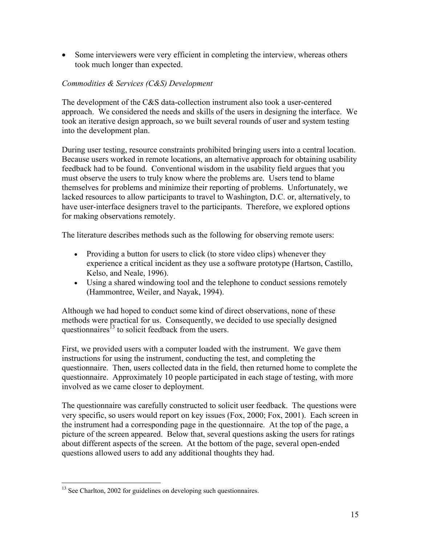• Some interviewers were very efficient in completing the interview, whereas others took much longer than expected.

# *Commodities & Services (C&S) Development*

The development of the C&S data-collection instrument also took a user-centered approach. We considered the needs and skills of the users in designing the interface. We took an iterative design approach, so we built several rounds of user and system testing into the development plan.

During user testing, resource constraints prohibited bringing users into a central location. Because users worked in remote locations, an alternative approach for obtaining usability feedback had to be found. Conventional wisdom in the usability field argues that you must observe the users to truly know where the problems are. Users tend to blame themselves for problems and minimize their reporting of problems. Unfortunately, we lacked resources to allow participants to travel to Washington, D.C. or, alternatively, to have user-interface designers travel to the participants. Therefore, we explored options for making observations remotely.

The literature describes methods such as the following for observing remote users:

- Providing a button for users to click (to store video clips) whenever they experience a critical incident as they use a software prototype (Hartson, Castillo, Kelso, and Neale, 1996).
- Using a shared windowing tool and the telephone to conduct sessions remotely (Hammontree, Weiler, and Nayak, 1994).

Although we had hoped to conduct some kind of direct observations, none of these methods were practical for us. Consequently, we decided to use specially designed questionnaires<sup> $13$ </sup> to solicit feedback from the users.

First, we provided users with a computer loaded with the instrument. We gave them instructions for using the instrument, conducting the test, and completing the questionnaire. Then, users collected data in the field, then returned home to complete the questionnaire. Approximately 10 people participated in each stage of testing, with more involved as we came closer to deployment.

The questionnaire was carefully constructed to solicit user feedback. The questions were very specific, so users would report on key issues (Fox, 2000; Fox, 2001). Each screen in the instrument had a corresponding page in the questionnaire. At the top of the page, a picture of the screen appeared. Below that, several questions asking the users for ratings about different aspects of the screen. At the bottom of the page, several open-ended questions allowed users to add any additional thoughts they had.

<u>.</u>

<sup>&</sup>lt;sup>13</sup> See Charlton, 2002 for guidelines on developing such questionnaires.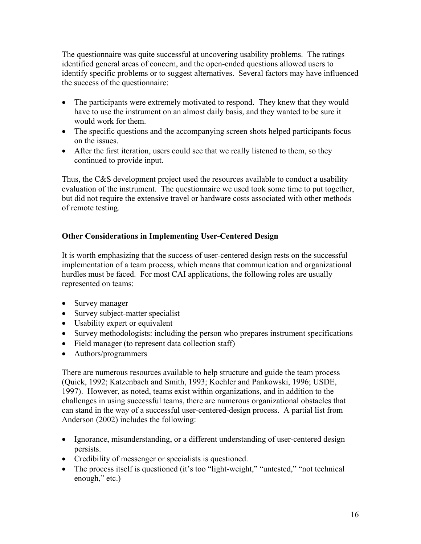The questionnaire was quite successful at uncovering usability problems. The ratings identified general areas of concern, and the open-ended questions allowed users to identify specific problems or to suggest alternatives. Several factors may have influenced the success of the questionnaire:

- The participants were extremely motivated to respond. They knew that they would have to use the instrument on an almost daily basis, and they wanted to be sure it would work for them.
- The specific questions and the accompanying screen shots helped participants focus on the issues.
- After the first iteration, users could see that we really listened to them, so they continued to provide input.

Thus, the C&S development project used the resources available to conduct a usability evaluation of the instrument. The questionnaire we used took some time to put together, but did not require the extensive travel or hardware costs associated with other methods of remote testing.

# **Other Considerations in Implementing User-Centered Design**

It is worth emphasizing that the success of user-centered design rests on the successful implementation of a team process, which means that communication and organizational hurdles must be faced. For most CAI applications, the following roles are usually represented on teams:

- Survey manager
- Survey subject-matter specialist
- Usability expert or equivalent
- Survey methodologists: including the person who prepares instrument specifications
- Field manager (to represent data collection staff)
- Authors/programmers

There are numerous resources available to help structure and guide the team process (Quick, 1992; Katzenbach and Smith, 1993; Koehler and Pankowski, 1996; USDE, 1997). However, as noted, teams exist within organizations, and in addition to the challenges in using successful teams, there are numerous organizational obstacles that can stand in the way of a successful user-centered-design process. A partial list from Anderson (2002) includes the following:

- Ignorance, misunderstanding, or a different understanding of user-centered design persists.
- Credibility of messenger or specialists is questioned.
- The process itself is questioned (it's too "light-weight," "untested," "not technical enough," etc.)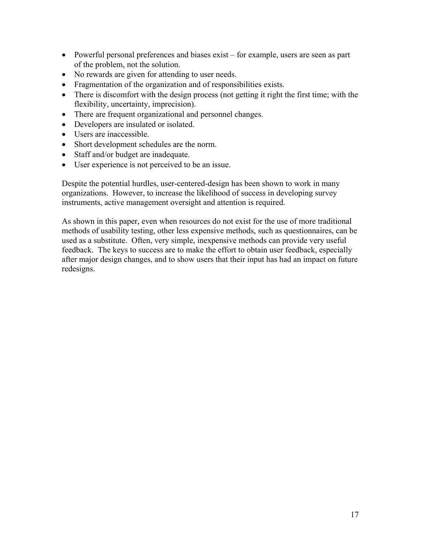- Powerful personal preferences and biases exist for example, users are seen as part of the problem, not the solution.
- No rewards are given for attending to user needs.
- Fragmentation of the organization and of responsibilities exists.
- There is discomfort with the design process (not getting it right the first time; with the flexibility, uncertainty, imprecision).
- There are frequent organizational and personnel changes.
- Developers are insulated or isolated.
- Users are inaccessible
- Short development schedules are the norm.
- Staff and/or budget are inadequate.
- User experience is not perceived to be an issue.

Despite the potential hurdles, user-centered-design has been shown to work in many organizations. However, to increase the likelihood of success in developing survey instruments, active management oversight and attention is required.

As shown in this paper, even when resources do not exist for the use of more traditional methods of usability testing, other less expensive methods, such as questionnaires, can be used as a substitute. Often, very simple, inexpensive methods can provide very useful feedback. The keys to success are to make the effort to obtain user feedback, especially after major design changes, and to show users that their input has had an impact on future redesigns.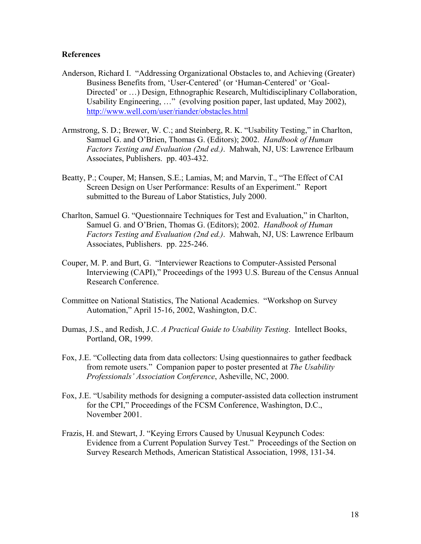#### **References**

- Anderson, Richard I. "Addressing Organizational Obstacles to, and Achieving (Greater) Business Benefits from, 'User-Centered' (or 'Human-Centered' or 'Goal-Directed' or …) Design, Ethnographic Research, Multidisciplinary Collaboration, Usability Engineering, …" (evolving position paper, last updated, May 2002), http://www.well.com/user/riander/obstacles.html
- Armstrong, S. D.; Brewer, W. C.; and Steinberg, R. K. "Usability Testing," in Charlton, Samuel G. and O'Brien, Thomas G. (Editors); 2002. *Handbook of Human Factors Testing and Evaluation (2nd ed.)*. Mahwah, NJ, US: Lawrence Erlbaum Associates, Publishers. pp. 403-432.
- Beatty, P.; Couper, M; Hansen, S.E.; Lamias, M; and Marvin, T., "The Effect of CAI Screen Design on User Performance: Results of an Experiment." Report submitted to the Bureau of Labor Statistics, July 2000.
- Charlton, Samuel G. "Questionnaire Techniques for Test and Evaluation," in Charlton, Samuel G. and O'Brien, Thomas G. (Editors); 2002. *Handbook of Human Factors Testing and Evaluation (2nd ed.)*. Mahwah, NJ, US: Lawrence Erlbaum Associates, Publishers. pp. 225-246.
- Couper, M. P. and Burt, G. "Interviewer Reactions to Computer-Assisted Personal Interviewing (CAPI)," Proceedings of the 1993 U.S. Bureau of the Census Annual Research Conference.
- Committee on National Statistics, The National Academies. "Workshop on Survey Automation," April 15-16, 2002, Washington, D.C.
- Dumas, J.S., and Redish, J.C. *A Practical Guide to Usability Testing*. Intellect Books, Portland, OR, 1999.
- Fox, J.E. "Collecting data from data collectors: Using questionnaires to gather feedback from remote users." Companion paper to poster presented at *The Usability Professionals' Association Conference*, Asheville, NC, 2000.
- Fox, J.E. "Usability methods for designing a computer-assisted data collection instrument for the CPI," Proceedings of the FCSM Conference, Washington, D.C., November 2001.
- Frazis, H. and Stewart, J. "Keying Errors Caused by Unusual Keypunch Codes: Evidence from a Current Population Survey Test." Proceedings of the Section on Survey Research Methods, American Statistical Association, 1998, 131-34.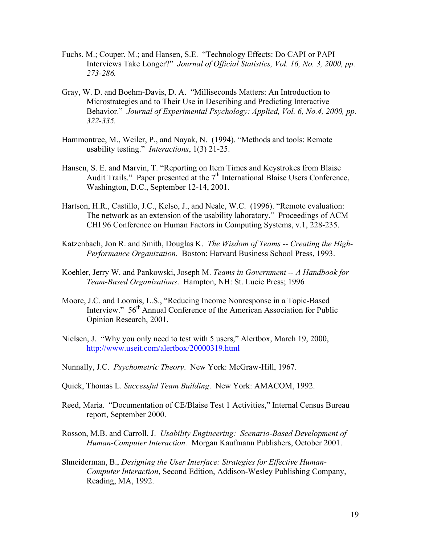- Fuchs, M.; Couper, M.; and Hansen, S.E. "Technology Effects: Do CAPI or PAPI Interviews Take Longer?" *Journal of Official Statistics, Vol. 16, No. 3, 2000, pp. 273-286.*
- Gray, W. D. and Boehm-Davis, D. A. "Milliseconds Matters: An Introduction to Microstrategies and to Their Use in Describing and Predicting Interactive Behavior." *Journal of Experimental Psychology: Applied, Vol. 6, No.4, 2000, pp. 322-335.*
- Hammontree, M., Weiler, P., and Nayak, N. (1994). "Methods and tools: Remote usability testing." *Interactions*, 1(3) 21-25.
- Hansen, S. E. and Marvin, T. "Reporting on Item Times and Keystrokes from Blaise Audit Trails." Paper presented at the  $7<sup>th</sup>$  International Blaise Users Conference, Washington, D.C., September 12-14, 2001.
- Hartson, H.R., Castillo, J.C., Kelso, J., and Neale, W.C. (1996). "Remote evaluation: The network as an extension of the usability laboratory." Proceedings of ACM CHI 96 Conference on Human Factors in Computing Systems, v.1, 228-235.
- Katzenbach, Jon R. and Smith, Douglas K. *The Wisdom of Teams -- Creating the High-Performance Organization*. Boston: Harvard Business School Press, 1993.
- Koehler, Jerry W. and Pankowski, Joseph M. *Teams in Government -- A Handbook for Team-Based Organizations*. Hampton, NH: St. Lucie Press; 1996
- Moore, J.C. and Loomis, L.S., "Reducing Income Nonresponse in a Topic-Based Interview." 56<sup>th</sup> Annual Conference of the American Association for Public Opinion Research, 2001.
- Nielsen, J. "Why you only need to test with 5 users," Alertbox, March 19, 2000, http://www.useit.com/alertbox/20000319.html
- Nunnally, J.C. *Psychometric Theory*. New York: McGraw-Hill, 1967.
- Quick, Thomas L. *Successful Team Building*. New York: AMACOM, 1992.
- Reed, Maria. "Documentation of CE/Blaise Test 1 Activities," Internal Census Bureau report, September 2000.
- Rosson, M.B. and Carroll, J. *Usability Engineering: Scenario-Based Development of Human-Computer Interaction.* Morgan Kaufmann Publishers, October 2001.
- Shneiderman, B., *Designing the User Interface: Strategies for Effective Human-Computer Interaction*, Second Edition, Addison-Wesley Publishing Company, Reading, MA, 1992.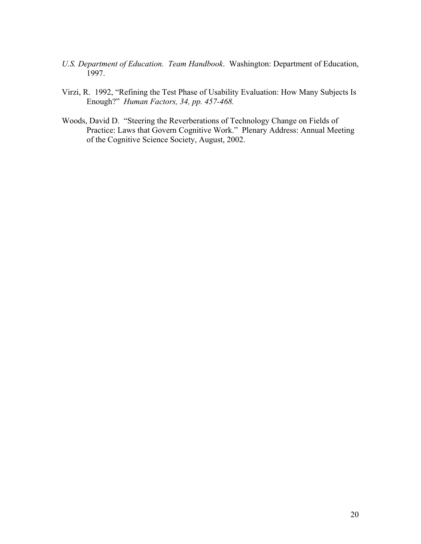- *U.S. Department of Education. Team Handbook*. Washington: Department of Education, 1997.
- Virzi, R. 1992, "Refining the Test Phase of Usability Evaluation: How Many Subjects Is Enough?" *Human Factors, 34, pp. 457-468.*
- Woods, David D. "Steering the Reverberations of Technology Change on Fields of Practice: Laws that Govern Cognitive Work." Plenary Address: Annual Meeting of the Cognitive Science Society, August, 2002.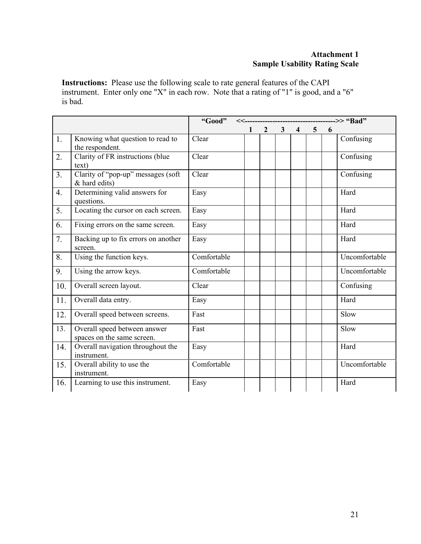## **Attachment 1 Sample Usability Rating Scale**

**Instructions:** Please use the following scale to rate general features of the CAPI instrument. Enter only one "X" in each row. Note that a rating of "1" is good, and a "6" is bad.

|                  |                                                            | "Good"      |   |                |                |                |                |   |               |
|------------------|------------------------------------------------------------|-------------|---|----------------|----------------|----------------|----------------|---|---------------|
|                  |                                                            |             | 1 | $\overline{2}$ | 3 <sup>7</sup> | $\overline{4}$ | $\overline{5}$ | 6 |               |
| 1.               | Knowing what question to read to<br>the respondent.        | Clear       |   |                |                |                |                |   | Confusing     |
| 2.               | Clarity of FR instructions (blue<br>text)                  | Clear       |   |                |                |                |                |   | Confusing     |
| 3 <sub>1</sub>   | Clarity of "pop-up" messages (soft<br>& hard edits)        | Clear       |   |                |                |                |                |   | Confusing     |
| $\overline{4}$ . | Determining valid answers for<br>questions.                | Easy        |   |                |                |                |                |   | Hard          |
| 5.               | Locating the cursor on each screen.                        | Easy        |   |                |                |                |                |   | Hard          |
| 6.               | Fixing errors on the same screen.                          | Easy        |   |                |                |                |                |   | Hard          |
| 7.               | Backing up to fix errors on another<br>screen.             | Easy        |   |                |                |                |                |   | Hard          |
| 8.               | Using the function keys.                                   | Comfortable |   |                |                |                |                |   | Uncomfortable |
| 9.               | Using the arrow keys.                                      | Comfortable |   |                |                |                |                |   | Uncomfortable |
| 10.              | Overall screen layout.                                     | Clear       |   |                |                |                |                |   | Confusing     |
| 11.              | Overall data entry.                                        | Easy        |   |                |                |                |                |   | Hard          |
| 12.              | Overall speed between screens.                             | Fast        |   |                |                |                |                |   | Slow          |
| 13.              | Overall speed between answer<br>spaces on the same screen. | Fast        |   |                |                |                |                |   | Slow          |
| 14.              | Overall navigation throughout the<br>instrument.           | Easy        |   |                |                |                |                |   | Hard          |
| 15.              | Overall ability to use the<br>instrument.                  | Comfortable |   |                |                |                |                |   | Uncomfortable |
| 16.              | Learning to use this instrument.                           | Easy        |   |                |                |                |                |   | Hard          |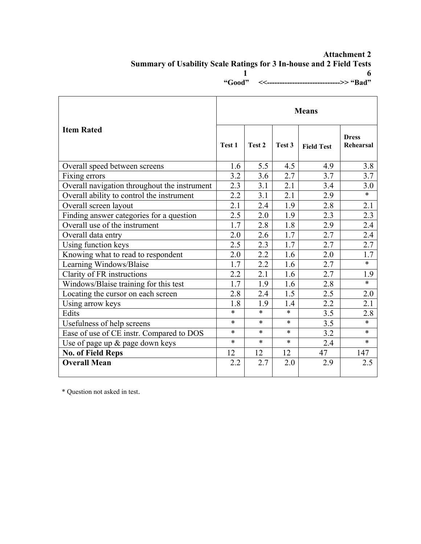### **Attachment 2 Summary of Usability Scale Ratings for 3 In-house and 2 Field Tests 1** 6  **"Good" <<----------------------------->> "Bad"**

|                                              |                  | <b>Means</b>     |        |                   |                           |  |  |  |  |  |
|----------------------------------------------|------------------|------------------|--------|-------------------|---------------------------|--|--|--|--|--|
| <b>Item Rated</b>                            | Test 1           | Test 2           | Test 3 | <b>Field Test</b> | <b>Dress</b><br>Rehearsal |  |  |  |  |  |
| Overall speed between screens                | 1.6              | 5.5              | 4.5    | 4.9               | 3.8                       |  |  |  |  |  |
| Fixing errors                                | 3.2              | 3.6              | 2.7    | 3.7               | 3.7                       |  |  |  |  |  |
| Overall navigation throughout the instrument | 2.3              | $\overline{3.1}$ | 2.1    | 3.4               | 3.0                       |  |  |  |  |  |
| Overall ability to control the instrument    | 2.2              | 3.1              | 2.1    | 2.9               | $\ast$                    |  |  |  |  |  |
| Overall screen layout                        | 2.1              | 2.4              | 1.9    | 2.8               | 2.1                       |  |  |  |  |  |
| Finding answer categories for a question     | 2.5              | 2.0              | 1.9    | 2.3               | 2.3                       |  |  |  |  |  |
| Overall use of the instrument                | $\overline{1.7}$ | 2.8              | 1.8    | 2.9               | 2.4                       |  |  |  |  |  |
| Overall data entry                           |                  | 2.6              | 1.7    | 2.7               | 2.4                       |  |  |  |  |  |
| Using function keys                          |                  | 2.3              | 1.7    | 2.7               | 2.7                       |  |  |  |  |  |
| Knowing what to read to respondent           |                  | 2.2              | 1.6    | 2.0               | 1.7                       |  |  |  |  |  |
| Learning Windows/Blaise                      |                  | 2.2              | 1.6    | 2.7               | $\ast$                    |  |  |  |  |  |
| Clarity of FR instructions                   |                  | 2.1              | 1.6    | 2.7               | 1.9                       |  |  |  |  |  |
| Windows/Blaise training for this test        |                  | 1.9              | 1.6    | 2.8               | $\ast$                    |  |  |  |  |  |
| Locating the cursor on each screen           | 2.8              | 2.4              | 1.5    | 2.5               | 2.0                       |  |  |  |  |  |
| Using arrow keys                             |                  | 1.9              | 1.4    | 2.2               | 2.1                       |  |  |  |  |  |
| Edits                                        |                  | $\ast$           | $\ast$ | $\overline{3.5}$  | 2.8                       |  |  |  |  |  |
| Usefulness of help screens                   |                  | $\ast$           | $\ast$ | 3.5               | $\ast$                    |  |  |  |  |  |
| Ease of use of CE instr. Compared to DOS     |                  | $\ast$           | $\ast$ | 3.2               | $\ast$                    |  |  |  |  |  |
| Use of page up $\&$ page down keys           |                  | $\ast$           | $\ast$ | 2.4               | $\ast$                    |  |  |  |  |  |
| <b>No. of Field Reps</b>                     | 12               | 12               | 12     | 47                | 147                       |  |  |  |  |  |
| <b>Overall Mean</b>                          | 2.2              | 2.7              | 2.0    | 2.9               | 2.5                       |  |  |  |  |  |
|                                              |                  |                  |        |                   |                           |  |  |  |  |  |

\* Question not asked in test.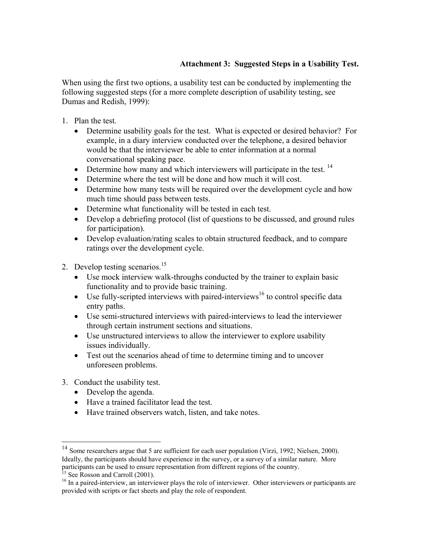# **Attachment 3: Suggested Steps in a Usability Test.**

When using the first two options, a usability test can be conducted by implementing the following suggested steps (for a more complete description of usability testing, see Dumas and Redish, 1999):

- 1. Plan the test.
	- Determine usability goals for the test. What is expected or desired behavior? For example, in a diary interview conducted over the telephone, a desired behavior would be that the interviewer be able to enter information at a normal conversational speaking pace.
	- Determine how many and which interviewers will participate in the test.  $14$
	- Determine where the test will be done and how much it will cost.
	- Determine how many tests will be required over the development cycle and how much time should pass between tests.
	- Determine what functionality will be tested in each test.
	- Develop a debriefing protocol (list of questions to be discussed, and ground rules for participation).
	- Develop evaluation/rating scales to obtain structured feedback, and to compare ratings over the development cycle.
- 2. Develop testing scenarios.<sup>15</sup>
	- Use mock interview walk-throughs conducted by the trainer to explain basic functionality and to provide basic training.
	- Use fully-scripted interviews with paired-interviews<sup>16</sup> to control specific data entry paths.
	- Use semi-structured interviews with paired-interviews to lead the interviewer through certain instrument sections and situations.
	- Use unstructured interviews to allow the interviewer to explore usability issues individually.
	- Test out the scenarios ahead of time to determine timing and to uncover unforeseen problems.
- 3. Conduct the usability test.
	- Develop the agenda.
	- Have a trained facilitator lead the test.
	- Have trained observers watch, listen, and take notes.

 $\overline{a}$ 

<sup>&</sup>lt;sup>14</sup> Some researchers argue that 5 are sufficient for each user population (Virzi, 1992; Nielsen, 2000). Ideally, the participants should have experience in the survey, or a survey of a similar nature. More participants can be used to ensure representation from different regions of the country.

<sup>&</sup>lt;sup>15</sup> See Rosson and Carroll (2001).

<sup>&</sup>lt;sup>16</sup> In a paired-interview, an interviewer plays the role of interviewer. Other interviewers or participants are provided with scripts or fact sheets and play the role of respondent.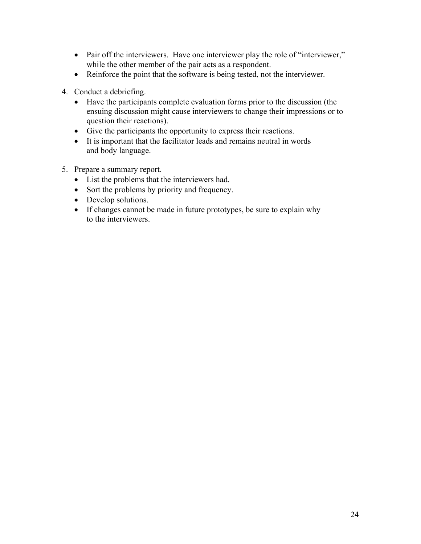- Pair off the interviewers. Have one interviewer play the role of "interviewer," while the other member of the pair acts as a respondent.
- Reinforce the point that the software is being tested, not the interviewer.
- 4. Conduct a debriefing.
	- Have the participants complete evaluation forms prior to the discussion (the ensuing discussion might cause interviewers to change their impressions or to question their reactions).
	- Give the participants the opportunity to express their reactions.
	- It is important that the facilitator leads and remains neutral in words and body language.
- 5. Prepare a summary report.
	- List the problems that the interviewers had.
	- Sort the problems by priority and frequency.
	- Develop solutions.
	- If changes cannot be made in future prototypes, be sure to explain why to the interviewers.